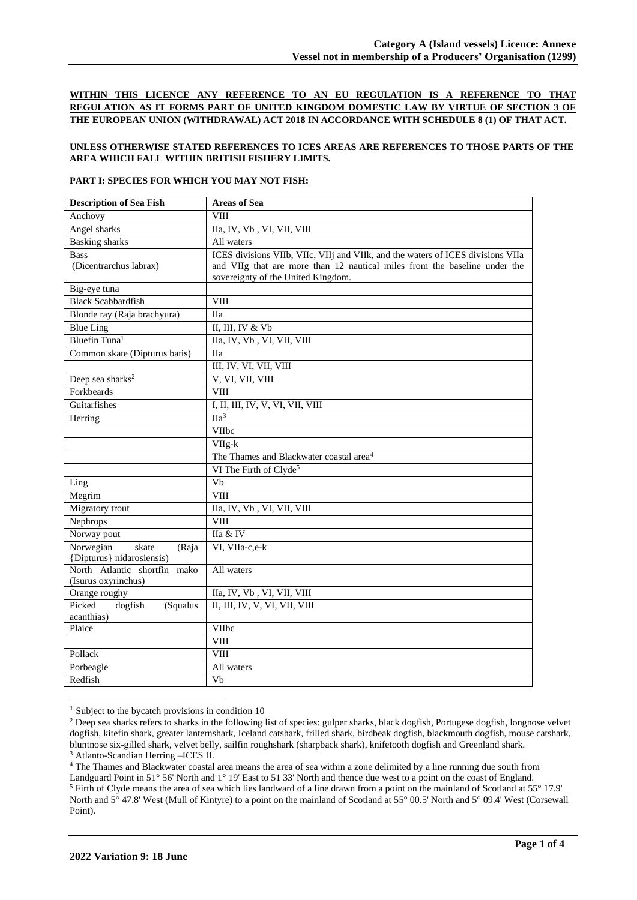**WITHIN THIS LICENCE ANY REFERENCE TO AN EU REGULATION IS A REFERENCE TO THAT REGULATION AS IT FORMS PART OF UNITED KINGDOM DOMESTIC LAW BY VIRTUE OF SECTION 3 OF THE EUROPEAN UNION (WITHDRAWAL) ACT 2018 IN ACCORDANCE WITH SCHEDULE 8 (1) OF THAT ACT.**

## **UNLESS OTHERWISE STATED REFERENCES TO ICES AREAS ARE REFERENCES TO THOSE PARTS OF THE AREA WHICH FALL WITHIN BRITISH FISHERY LIMITS.**

## **PART I: SPECIES FOR WHICH YOU MAY NOT FISH:**

| <b>Description of Sea Fish</b>                           | <b>Areas of Sea</b>                                                             |
|----------------------------------------------------------|---------------------------------------------------------------------------------|
| Anchovy                                                  | VIII                                                                            |
| Angel sharks                                             | IIa, IV, Vb, VI, VII, VIII                                                      |
| <b>Basking</b> sharks                                    | All waters                                                                      |
| <b>Bass</b>                                              | ICES divisions VIIb, VIIc, VIIj and VIIk, and the waters of ICES divisions VIIa |
| (Dicentrarchus labrax)                                   | and VIIg that are more than 12 nautical miles from the baseline under the       |
|                                                          | sovereignty of the United Kingdom.                                              |
| Big-eye tuna                                             |                                                                                 |
| <b>Black Scabbardfish</b>                                | <b>VIII</b>                                                                     |
| Blonde ray (Raja brachyura)                              | <b>IIa</b>                                                                      |
| Blue Ling                                                | II, III, IV & Vb                                                                |
| Bluefin Tuna <sup>1</sup>                                | IIa, IV, Vb, VI, VII, VIII                                                      |
| Common skate (Dipturus batis)                            | Hа                                                                              |
|                                                          | III, IV, VI, VII, VIII                                                          |
| Deep sea sharks <sup>2</sup>                             | V, VI, VII, VIII                                                                |
| Forkbeards                                               | VIII                                                                            |
| Guitarfishes                                             | I, II, III, IV, V, VI, VII, VIII                                                |
| Herring                                                  | $\Pi a^3$                                                                       |
|                                                          | <b>VIIbc</b>                                                                    |
|                                                          | VIIg-k                                                                          |
|                                                          | The Thames and Blackwater coastal area <sup>4</sup>                             |
|                                                          | VI The Firth of Clyde <sup>5</sup>                                              |
| Ling                                                     | Vb                                                                              |
| Megrim                                                   | <b>VIII</b>                                                                     |
| Migratory trout                                          | IIa, IV, Vb, VI, VII, VIII                                                      |
| Nephrops                                                 | <b>VIII</b>                                                                     |
| Norway pout                                              | IIa & IV                                                                        |
| Norwegian<br>skate<br>(Raja<br>{Dipturus} nidarosiensis) | VI, VIIa-c,e-k                                                                  |
| North Atlantic shortfin mako<br>(Isurus oxyrinchus)      | All waters                                                                      |
| Orange roughy                                            | IIa, IV, Vb, VI, VII, VIII                                                      |
| Picked<br>dogfish<br>(Squalus                            | II, III, IV, V, VI, VII, VIII                                                   |
| acanthias)                                               |                                                                                 |
| Plaice                                                   | VIIbc                                                                           |
|                                                          | <b>VIII</b>                                                                     |
| Pollack                                                  | <b>VIII</b>                                                                     |
| Porbeagle                                                | All waters                                                                      |
| Redfish                                                  | Vb                                                                              |

 $<sup>1</sup>$  Subject to the bycatch provisions in condition 10</sup>

<sup>3</sup> Atlanto-Scandian Herring –ICES II.

<sup>4</sup> The Thames and Blackwater coastal area means the area of sea within a zone delimited by a line running due south from

<sup>&</sup>lt;sup>2</sup> Deep sea sharks refers to sharks in the following list of species: gulper sharks, black dogfish, Portugese dogfish, longnose velvet dogfish, kitefin shark, greater lanternshark, Iceland catshark, frilled shark, birdbeak dogfish, blackmouth dogfish, mouse catshark, bluntnose six-gilled shark, velvet belly, sailfin roughshark (sharpback shark), knifetooth dogfish and Greenland shark.

Landguard Point in 51° 56' North and 1° 19' East to 51 33' North and thence due west to a point on the coast of England. <sup>5</sup> Firth of Clyde means the area of sea which lies landward of a line drawn from a point on the mainland of Scotland at 55° 17.9' North and 5° 47.8' West (Mull of Kintyre) to a point on the mainland of Scotland at 55° 00.5' North and 5° 09.4' West (Corsewall Point).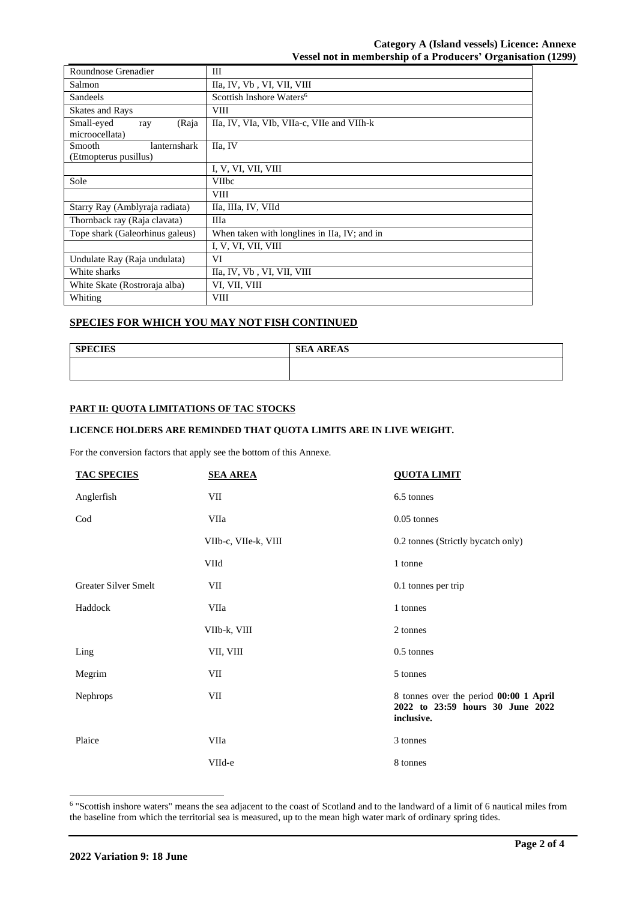| Roundnose Grenadier             | Ш                                            |  |  |
|---------------------------------|----------------------------------------------|--|--|
| Salmon                          | IIa, IV, Vb, VI, VII, VIII                   |  |  |
| Sandeels                        | Scottish Inshore Waters <sup>6</sup>         |  |  |
| <b>Skates and Rays</b>          | <b>VIII</b>                                  |  |  |
| Small-eyed<br>(Raja<br>ray      | IIa, IV, VIa, VIb, VIIa-c, VIIe and VIIh-k   |  |  |
| microocellata)                  |                                              |  |  |
| Smooth<br>lanternshark          | IIa, IV                                      |  |  |
| (Etmopterus pusillus)           |                                              |  |  |
|                                 | I, V, VI, VII, VIII                          |  |  |
| Sole                            | <b>VIIbc</b>                                 |  |  |
|                                 | <b>VIII</b>                                  |  |  |
| Starry Ray (Amblyraja radiata)  | IIa, IIIa, IV, VIId                          |  |  |
| Thornback ray (Raja clavata)    | Шa                                           |  |  |
| Tope shark (Galeorhinus galeus) | When taken with longlines in IIa, IV; and in |  |  |
|                                 | I, V, VI, VII, VIII                          |  |  |
| Undulate Ray (Raja undulata)    | VI                                           |  |  |
| White sharks                    | IIa, IV, Vb, VI, VII, VIII                   |  |  |
| White Skate (Rostroraja alba)   | VI, VII, VIII                                |  |  |
| Whiting                         | <b>VIII</b>                                  |  |  |

## **SPECIES FOR WHICH YOU MAY NOT FISH CONTINUED**

| <b>SPECIES</b> | <b>AREAS</b><br><b>SEA</b> |
|----------------|----------------------------|
|                |                            |

## **PART II: QUOTA LIMITATIONS OF TAC STOCKS**

# **LICENCE HOLDERS ARE REMINDED THAT QUOTA LIMITS ARE IN LIVE WEIGHT.**

For the conversion factors that apply see the bottom of this Annexe.

| <b>TAC SPECIES</b>   | <b>SEA AREA</b>      | <b>QUOTA LIMIT</b>                                                                       |  |
|----------------------|----------------------|------------------------------------------------------------------------------------------|--|
| Anglerfish           | VII                  | 6.5 tonnes                                                                               |  |
| $\mathrm{Cod}$       | VIIa                 | $0.05$ tonnes                                                                            |  |
|                      | VIIb-c, VIIe-k, VIII | 0.2 tonnes (Strictly bycatch only)                                                       |  |
|                      | VIId                 | 1 tonne                                                                                  |  |
| Greater Silver Smelt | VII                  | 0.1 tonnes per trip                                                                      |  |
| Haddock              | VIIa                 | 1 tonnes                                                                                 |  |
|                      | VIIb-k, VIII         | 2 tonnes                                                                                 |  |
| Ling                 | VII, VIII            | 0.5 tonnes                                                                               |  |
| Megrim               | VII                  | 5 tonnes                                                                                 |  |
| Nephrops             | VII                  | 8 tonnes over the period 00:00 1 April<br>2022 to 23:59 hours 30 June 2022<br>inclusive. |  |
| Plaice               | VIIa                 | 3 tonnes                                                                                 |  |
|                      | VIId-e               | 8 tonnes                                                                                 |  |

6 "Scottish inshore waters" means the sea adjacent to the coast of Scotland and to the landward of a limit of 6 nautical miles from the baseline from which the territorial sea is measured, up to the mean high water mark of ordinary spring tides.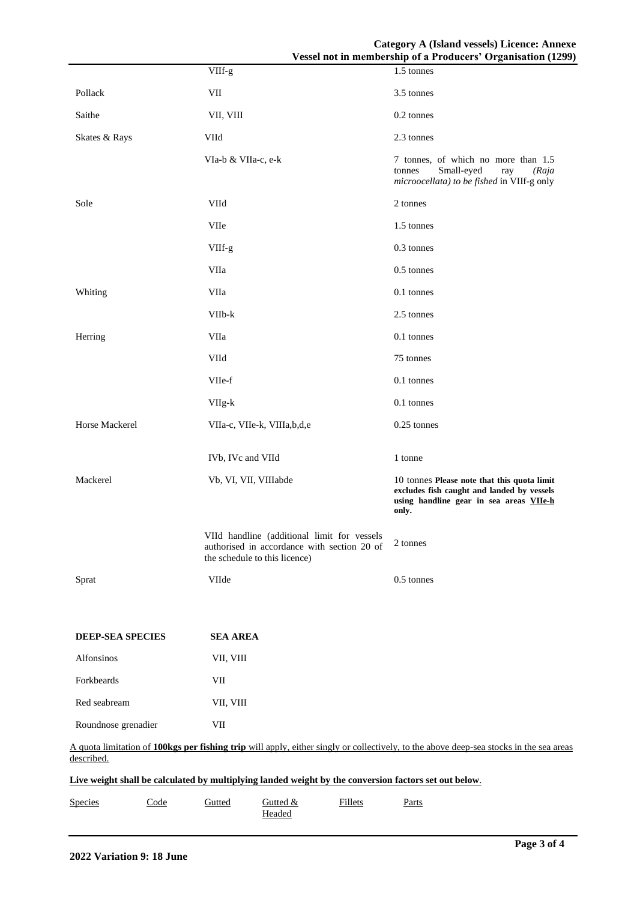|                     |                                                                                                                                        | $\alpha$ esser not in inclinuel simple a 1 rouncers. Organisation (1299)                                                                      |
|---------------------|----------------------------------------------------------------------------------------------------------------------------------------|-----------------------------------------------------------------------------------------------------------------------------------------------|
|                     | VIIf-g                                                                                                                                 | 1.5 tonnes                                                                                                                                    |
| Pollack             | VII                                                                                                                                    | 3.5 tonnes                                                                                                                                    |
| Saithe              | VII, VIII                                                                                                                              | 0.2 tonnes                                                                                                                                    |
| Skates & Rays       | VIId                                                                                                                                   | 2.3 tonnes                                                                                                                                    |
|                     | VIa-b & VIIa-c, e-k                                                                                                                    | 7 tonnes, of which no more than 1.5<br>Small-eyed<br>tonnes<br>(Raja<br>ray<br>microocellata) to be fished in VIIf-g only                     |
| Sole                | VIId                                                                                                                                   | 2 tonnes                                                                                                                                      |
|                     | <b>VIIe</b>                                                                                                                            | 1.5 tonnes                                                                                                                                    |
|                     | VIIf-g                                                                                                                                 | 0.3 tonnes                                                                                                                                    |
|                     | VIIa                                                                                                                                   | 0.5 tonnes                                                                                                                                    |
| Whiting             | VIIa                                                                                                                                   | 0.1 tonnes                                                                                                                                    |
|                     | VIIb-k                                                                                                                                 | 2.5 tonnes                                                                                                                                    |
| Herring             | VIIa                                                                                                                                   | 0.1 tonnes                                                                                                                                    |
|                     | VIId                                                                                                                                   | 75 tonnes                                                                                                                                     |
|                     | VIIe-f                                                                                                                                 | 0.1 tonnes                                                                                                                                    |
|                     | VIIg-k                                                                                                                                 | 0.1 tonnes                                                                                                                                    |
| Horse Mackerel      | VIIa-c, VIIe-k, VIIIa,b,d,e                                                                                                            | 0.25 tonnes                                                                                                                                   |
|                     | IVb, IVc and VIId                                                                                                                      | 1 tonne                                                                                                                                       |
| Mackerel            | Vb, VI, VII, VIIIabde                                                                                                                  | 10 tonnes Please note that this quota limit<br>excludes fish caught and landed by vessels<br>using handline gear in sea areas VIIe-h<br>only. |
|                     | VIId handline (additional limit for vessels<br>authorised in accordance with section 20 of<br>the schedule to this licence)            | 2 tonnes                                                                                                                                      |
| Sprat               | VIIde                                                                                                                                  | 0.5 tonnes                                                                                                                                    |
|                     |                                                                                                                                        |                                                                                                                                               |
| DEEP-SEA SPECIES    | <b>SEA AREA</b>                                                                                                                        |                                                                                                                                               |
| Alfonsinos          | VII, VIII                                                                                                                              |                                                                                                                                               |
| Forkbeards          | VII                                                                                                                                    |                                                                                                                                               |
| Red seabream        | VII, VIII                                                                                                                              |                                                                                                                                               |
| Roundnose grenadier | VII                                                                                                                                    |                                                                                                                                               |
|                     | A quota limitation of 100kgs per fishing trip will apply, either singly or collectively, to the above deep-sea stocks in the sea areas |                                                                                                                                               |
| described.          |                                                                                                                                        |                                                                                                                                               |
|                     | Live weight shall be calculated by multiplying landed weight by the conversion factors set out below.                                  |                                                                                                                                               |
| Species<br>Code     | <b>Fillets</b><br>Gutted<br>Gutted &<br>Headed                                                                                         | Parts                                                                                                                                         |